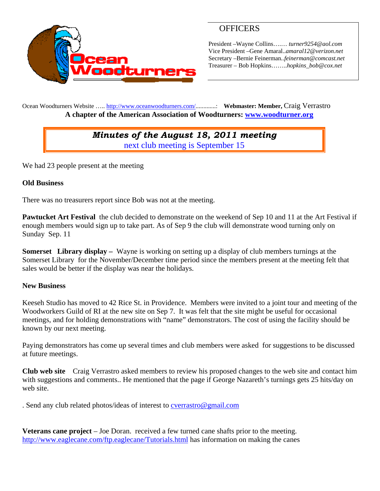

# **OFFICERS**

President –Wayne Collins….… *turner9254@aol.com*  Vice President –Gene Amaral..*amaral12@verizon.net* Secretary –Bernie Feinerman*..feinerman@comcast.net*  Treasurer – Bob Hopkins……..*hopkins\_bob@cox.net*

Ocean Woodturners Website ….. http://www.oceanwoodturners.com/.............: **Webmaster: Member,** Craig Verrastro **A chapter of the American Association of Woodturners: www.woodturner.org** 

# *Minutes of the August 18, 2011 meeting*  next club meeting is September 15

We had 23 people present at the meeting

## **Old Business**

There was no treasurers report since Bob was not at the meeting.

**Pawtucket Art Festival** the club decided to demonstrate on the weekend of Sep 10 and 11 at the Art Festival if enough members would sign up to take part. As of Sep 9 the club will demonstrate wood turning only on Sunday Sep. 11

**Somerset Library display –** Wayne is working on setting up a display of club members turnings at the Somerset Library for the November/December time period since the members present at the meeting felt that sales would be better if the display was near the holidays.

### **New Business**

Keeseh Studio has moved to 42 Rice St. in Providence. Members were invited to a joint tour and meeting of the Woodworkers Guild of RI at the new site on Sep 7. It was felt that the site might be useful for occasional meetings, and for holding demonstrations with "name" demonstrators. The cost of using the facility should be known by our next meeting.

Paying demonstrators has come up several times and club members were asked for suggestions to be discussed at future meetings.

**Club web site** Craig Verrastro asked members to review his proposed changes to the web site and contact him with suggestions and comments.. He mentioned that the page if George Nazareth's turnings gets 25 hits/day on web site.

. Send any club related photos/ideas of interest to **cverrastro@gmail.com** 

**Veterans cane project** – Joe Doran. received a few turned cane shafts prior to the meeting. http://www.eaglecane.com/ftp.eaglecane/Tutorials.html has information on making the canes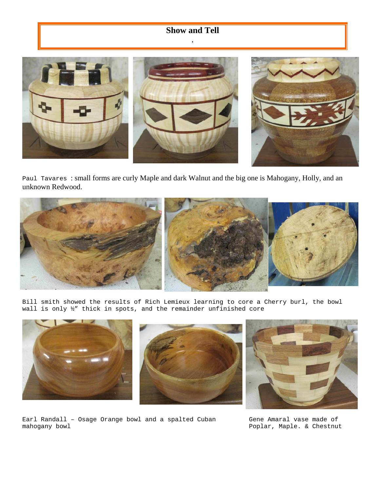# **Show and Tell**  ,

Paul Tavares : small forms are curly Maple and dark Walnut and the big one is Mahogany, Holly, and an unknown Redwood.



Bill smith showed the results of Rich Lemieux learning to core a Cherry burl, the bowl wall is only ½" thick in spots, and the remainder unfinished core







Earl Randall – Osage Orange bowl and a spalted Cuban mahogany bowl

Gene Amaral vase made of Poplar, Maple. & Chestnut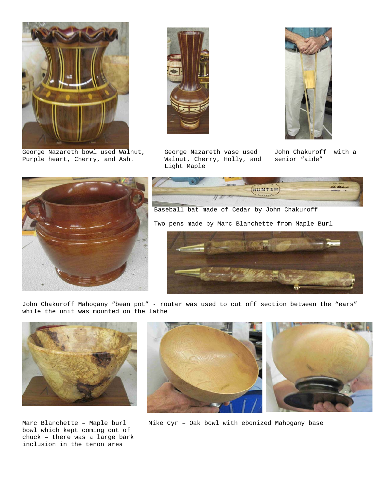

George Nazareth bowl used Walnut, Purple heart, Cherry, and Ash.



George Nazareth vase used Walnut, Cherry, Holly, and Light Maple



John Chakuroff with a senior "aide"









John Chakuroff Mahogany "bean pot" - router was used to cut off section between the "ears" while the unit was mounted on the lathe



Marc Blanchette – Maple burl bowl which kept coming out of chuck – there was a large bark inclusion in the tenon area



Mike Cyr – Oak bowl with ebonized Mahogany base